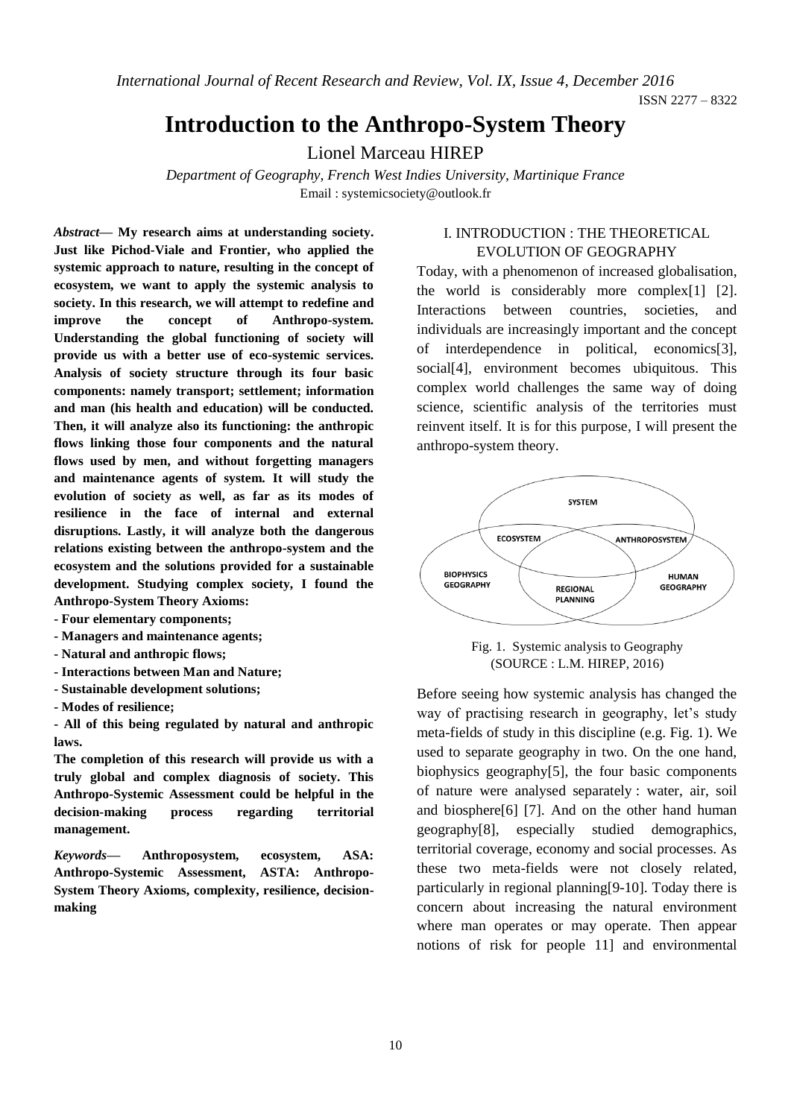*International Journal of Recent Research and Review, Vol. IX, Issue 4, December 2016*

ISSN 2277 – 8322

# **Introduction to the Anthropo-System Theory**

Lionel Marceau HIREP

*Department of Geography, French West Indies University, Martinique France* Email : [systemicsociety@outlook.fr](mailto:systemicsociety@outlook.fr)

*Abstract—* **My research aims at understanding society. Just like Pichod-Viale and Frontier, who applied the systemic approach to nature, resulting in the concept of ecosystem, we want to apply the systemic analysis to society. In this research, we will attempt to redefine and improve the concept of Anthropo-system. Understanding the global functioning of society will provide us with a better use of eco-systemic services. Analysis of society structure through its four basic components: namely transport; settlement; information and man (his health and education) will be conducted. Then, it will analyze also its functioning: the anthropic flows linking those four components and the natural flows used by men, and without forgetting managers and maintenance agents of system. It will study the evolution of society as well, as far as its modes of resilience in the face of internal and external disruptions. Lastly, it will analyze both the dangerous relations existing between the anthropo-system and the ecosystem and the solutions provided for a sustainable development. Studying complex society, I found the Anthropo-System Theory Axioms:**

- **- Four elementary components;**
- **- Managers and maintenance agents;**
- **- Natural and anthropic flows;**
- **- Interactions between Man and Nature;**
- **- Sustainable development solutions;**
- **- Modes of resilience;**

**- All of this being regulated by natural and anthropic laws.**

**The completion of this research will provide us with a truly global and complex diagnosis of society. This Anthropo-Systemic Assessment could be helpful in the decision-making process regarding territorial management.**

*Keywords—* **Anthroposystem, ecosystem, ASA: Anthropo-Systemic Assessment, ASTA: Anthropo-System Theory Axioms, complexity, resilience, decisionmaking**

#### I. INTRODUCTION : THE THEORETICAL EVOLUTION OF GEOGRAPHY

Today, with a phenomenon of increased globalisation, the world is considerably more complex[1] [2]. Interactions between countries, societies, and individuals are increasingly important and the concept of interdependence in political, economics[3], social[4], environment becomes ubiquitous. This complex world challenges the same way of doing science, scientific analysis of the territories must reinvent itself. It is for this purpose, I will present the anthropo-system theory.



Fig. 1. Systemic analysis to Geography (SOURCE : L.M. HIREP, 2016)

Before seeing how systemic analysis has changed the way of practising research in geography, let's study meta-fields of study in this discipline (e.g. Fig. 1). We used to separate geography in two. On the one hand, biophysics geography[5], the four basic components of nature were analysed separately : water, air, soil and biosphere[6] [7]. And on the other hand human geography[8], especially studied demographics, territorial coverage, economy and social processes. As these two meta-fields were not closely related, particularly in regional planning[9-10]. Today there is concern about increasing the natural environment where man operates or may operate. Then appear notions of risk for people 11] and environmental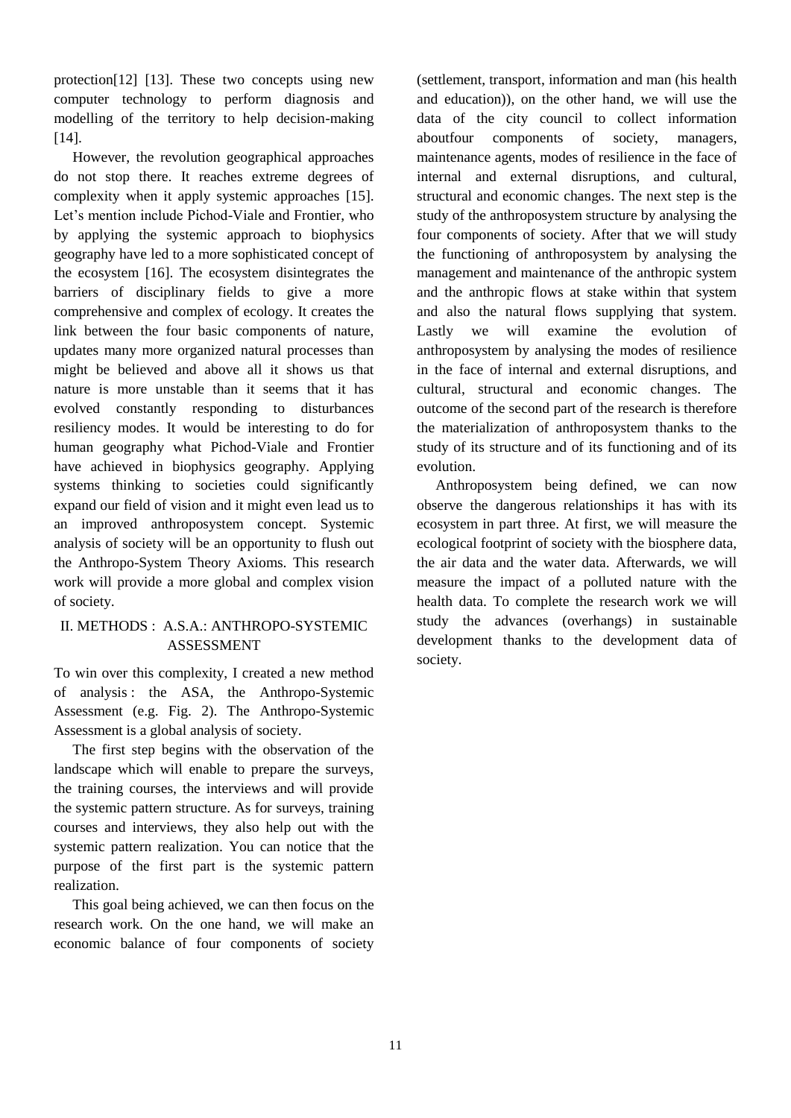protection[12] [13]. These two concepts using new computer technology to perform diagnosis and modelling of the territory to help decision-making [14].

However, the revolution geographical approaches do not stop there. It reaches extreme degrees of complexity when it apply systemic approaches [15]. Let's mention include Pichod-Viale and Frontier, who by applying the systemic approach to biophysics geography have led to a more sophisticated concept of the ecosystem [16]. The ecosystem disintegrates the barriers of disciplinary fields to give a more comprehensive and complex of ecology. It creates the link between the four basic components of nature, updates many more organized natural processes than might be believed and above all it shows us that nature is more unstable than it seems that it has evolved constantly responding to disturbances resiliency modes. It would be interesting to do for human geography what Pichod-Viale and Frontier have achieved in biophysics geography. Applying systems thinking to societies could significantly expand our field of vision and it might even lead us to an improved anthroposystem concept. Systemic analysis of society will be an opportunity to flush out the Anthropo-System Theory Axioms. This research work will provide a more global and complex vision of society.

## II. METHODS : A.S.A.: ANTHROPO-SYSTEMIC ASSESSMENT

To win over this complexity, I created a new method of analysis : the ASA, the Anthropo-Systemic Assessment (e.g. Fig. 2). The Anthropo-Systemic Assessment is a global analysis of society.

The first step begins with the observation of the landscape which will enable to prepare the surveys, the training courses, the interviews and will provide the systemic pattern structure. As for surveys, training courses and interviews, they also help out with the systemic pattern realization. You can notice that the purpose of the first part is the systemic pattern realization.

This goal being achieved, we can then focus on the research work. On the one hand, we will make an economic balance of four components of society

(settlement, transport, information and man (his health and education)), on the other hand, we will use the data of the city council to collect information aboutfour components of society, managers, maintenance agents, modes of resilience in the face of internal and external disruptions, and cultural, structural and economic changes. The next step is the study of the anthroposystem structure by analysing the four components of society. After that we will study the functioning of anthroposystem by analysing the management and maintenance of the anthropic system and the anthropic flows at stake within that system and also the natural flows supplying that system. Lastly we will examine the evolution of anthroposystem by analysing the modes of resilience in the face of internal and external disruptions, and cultural, structural and economic changes. The outcome of the second part of the research is therefore the materialization of anthroposystem thanks to the study of its structure and of its functioning and of its evolution.

Anthroposystem being defined, we can now observe the dangerous relationships it has with its ecosystem in part three. At first, we will measure the ecological footprint of society with the biosphere data, the air data and the water data. Afterwards, we will measure the impact of a polluted nature with the health data. To complete the research work we will study the advances (overhangs) in sustainable development thanks to the development data of society.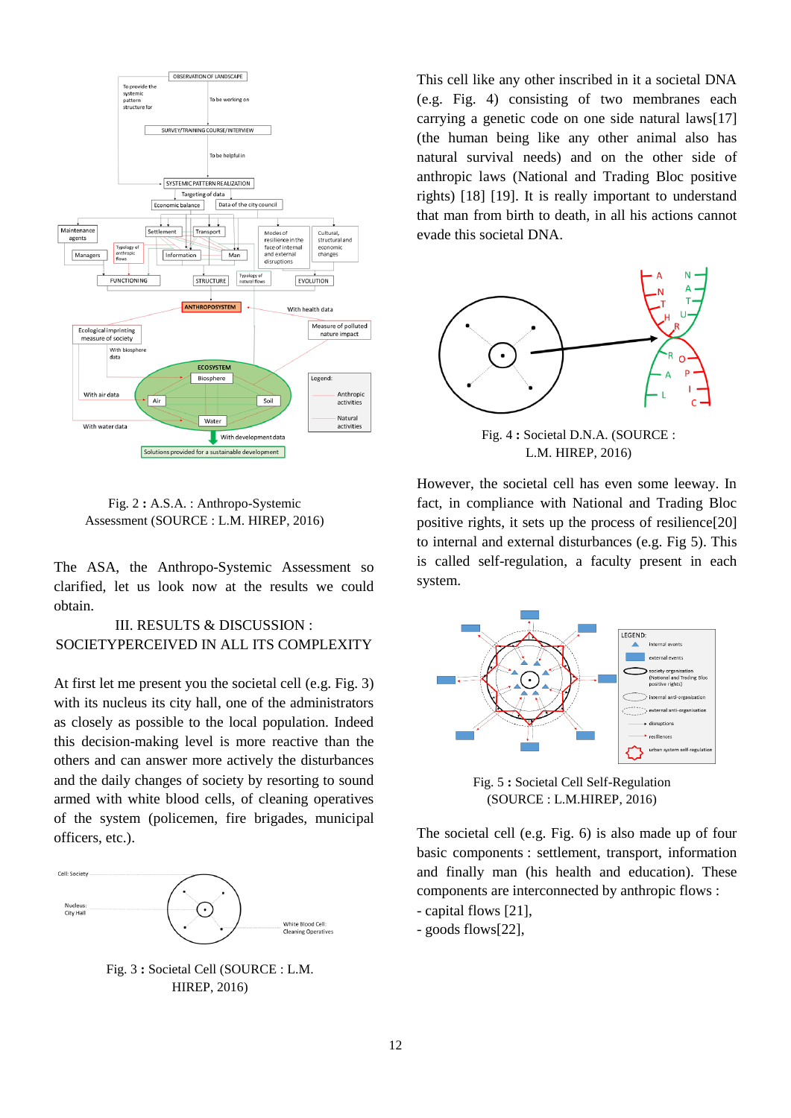

Fig. 2 **:** A.S.A. : Anthropo-Systemic Assessment (SOURCE : L.M. HIREP, 2016)

The ASA, the Anthropo-Systemic Assessment so clarified, let us look now at the results we could obtain.

## III. RESULTS & DISCUSSION : SOCIETYPERCEIVED IN ALL ITS COMPLEXITY

At first let me present you the societal cell (e.g. Fig. 3) with its nucleus its city hall, one of the administrators as closely as possible to the local population. Indeed this decision-making level is more reactive than the others and can answer more actively the disturbances and the daily changes of society by resorting to sound armed with white blood cells, of cleaning operatives of the system (policemen, fire brigades, municipal officers, etc.).



Fig. 3 **:** Societal Cell (SOURCE : L.M. HIREP, 2016)

This cell like any other inscribed in it a societal DNA (e.g. Fig. 4) consisting of two membranes each carrying a genetic code on one side natural laws[17] (the human being like any other animal also has natural survival needs) and on the other side of anthropic laws (National and Trading Bloc positive rights) [18] [19]. It is really important to understand that man from birth to death, in all his actions cannot evade this societal DNA.



Fig. 4 **:** Societal D.N.A. (SOURCE : L.M. HIREP, 2016)

However, the societal cell has even some leeway. In fact, in compliance with National and Trading Bloc positive rights, it sets up the process of resilience[20] to internal and external disturbances (e.g. Fig 5). This is called self-regulation, a faculty present in each system.



Fig. 5 **:** Societal Cell Self-Regulation (SOURCE : L.M.HIREP, 2016)

The societal cell (e.g. Fig. 6) is also made up of four basic components : settlement, transport, information and finally man (his health and education). These components are interconnected by anthropic flows :

- capital flows [21],
- goods flows[22],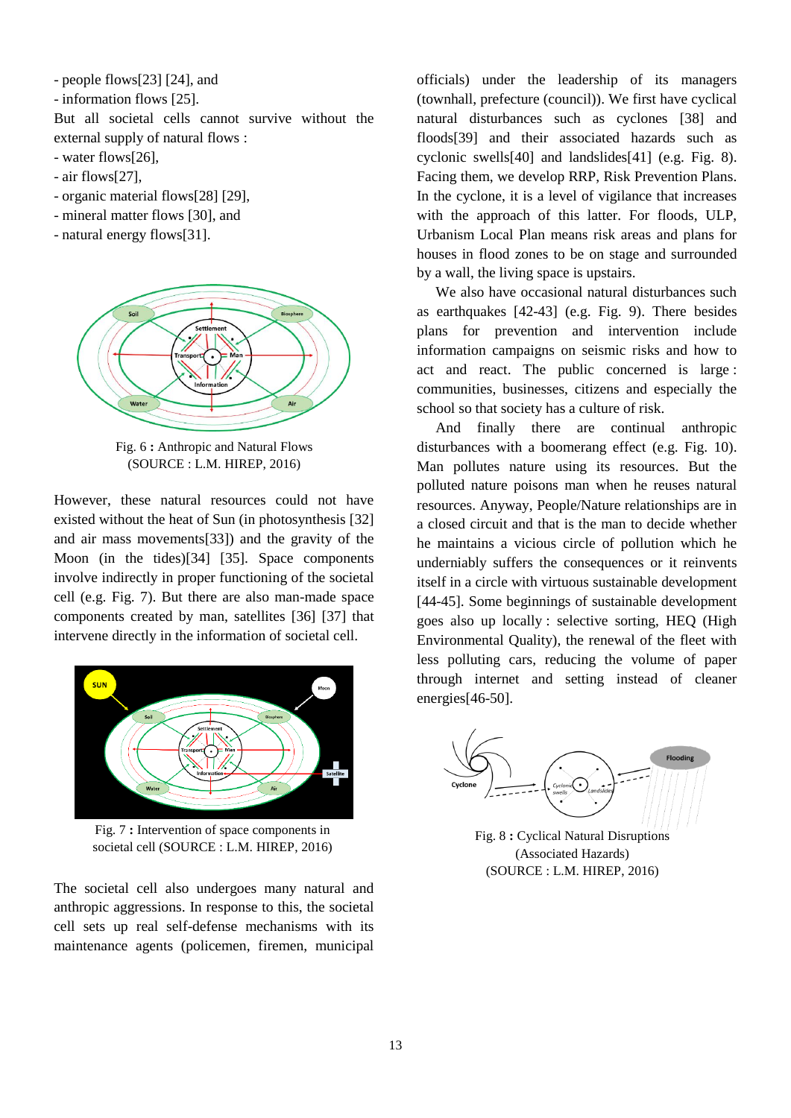- people flows[23] [24], and

- information flows [25].

But all societal cells cannot survive without the external supply of natural flows :

- water flows[26],
- air flows[27],
- organic material flows[28] [29],
- mineral matter flows [30], and
- natural energy flows[31].



Fig. 6 **:** Anthropic and Natural Flows (SOURCE : L.M. HIREP, 2016)

However, these natural resources could not have existed without the heat of Sun (in photosynthesis [32] and air mass movements[33]) and the gravity of the Moon (in the tides)[34] [35]. Space components involve indirectly in proper functioning of the societal cell (e.g. Fig. 7). But there are also man-made space components created by man, satellites [36] [37] that intervene directly in the information of societal cell.



Fig. 7 **:** Intervention of space components in societal cell (SOURCE : L.M. HIREP, 2016)

The societal cell also undergoes many natural and anthropic aggressions. In response to this, the societal cell sets up real self-defense mechanisms with its maintenance agents (policemen, firemen, municipal

officials) under the leadership of its managers (townhall, prefecture (council)). We first have cyclical natural disturbances such as cyclones [38] and floods[39] and their associated hazards such as cyclonic swells[40] and landslides[41] (e.g. Fig. 8). Facing them, we develop RRP, Risk Prevention Plans. In the cyclone, it is a level of vigilance that increases with the approach of this latter. For floods, ULP, Urbanism Local Plan means risk areas and plans for houses in flood zones to be on stage and surrounded by a wall, the living space is upstairs.

We also have occasional natural disturbances such as earthquakes [42-43] (e.g. Fig. 9). There besides plans for prevention and intervention include information campaigns on seismic risks and how to act and react. The public concerned is large : communities, businesses, citizens and especially the school so that society has a culture of risk.

And finally there are continual anthropic disturbances with a boomerang effect (e.g. Fig. 10). Man pollutes nature using its resources. But the polluted nature poisons man when he reuses natural resources. Anyway, People/Nature relationships are in a closed circuit and that is the man to decide whether he maintains a vicious circle of pollution which he underniably suffers the consequences or it reinvents itself in a circle with virtuous sustainable development [44-45]. Some beginnings of sustainable development goes also up locally : selective sorting, HEQ (High Environmental Quality), the renewal of the fleet with less polluting cars, reducing the volume of paper through internet and setting instead of cleaner energies[46-50].



Fig. 8 **:** Cyclical Natural Disruptions (Associated Hazards) (SOURCE : L.M. HIREP, 2016)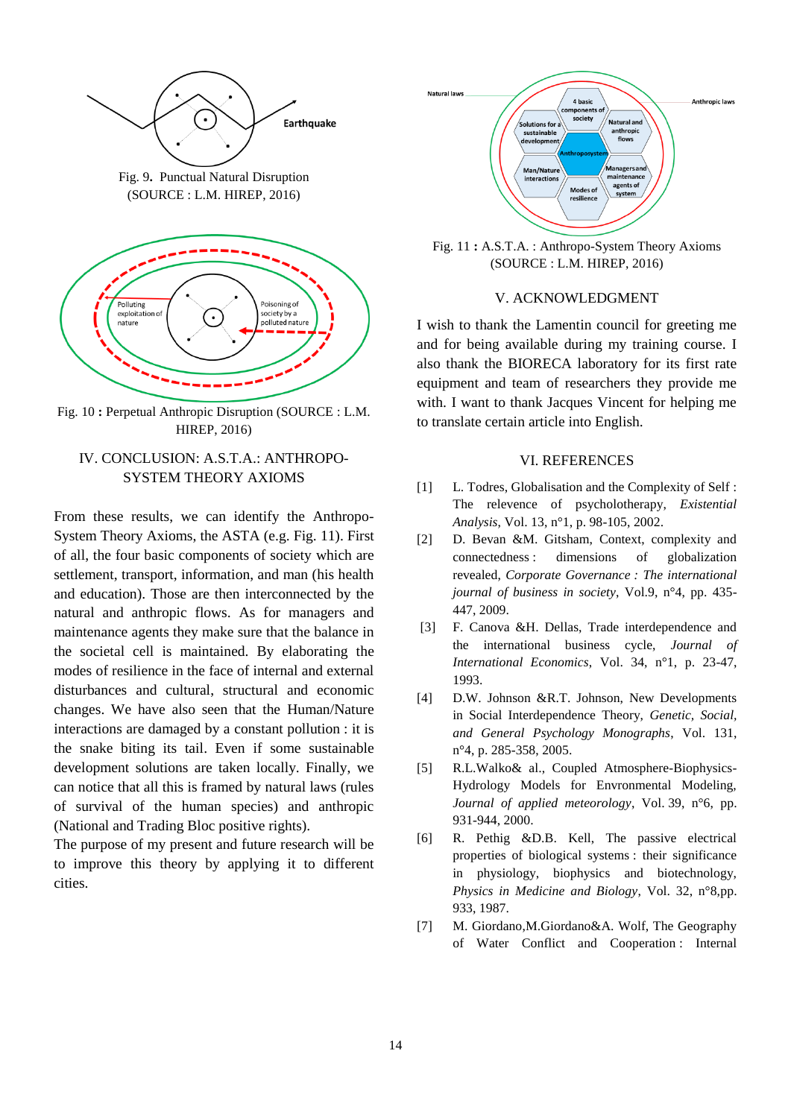

Fig. 9**.** Punctual Natural Disruption (SOURCE : L.M. HIREP, 2016)



Fig. 10 **:** Perpetual Anthropic Disruption (SOURCE : L.M. HIREP, 2016)

# IV. CONCLUSION: A.S.T.A.: ANTHROPO-SYSTEM THEORY AXIOMS

From these results, we can identify the Anthropo-System Theory Axioms, the ASTA (e.g. Fig. 11). First of all, the four basic components of society which are settlement, transport, information, and man (his health and education). Those are then interconnected by the natural and anthropic flows. As for managers and maintenance agents they make sure that the balance in the societal cell is maintained. By elaborating the modes of resilience in the face of internal and external disturbances and cultural, structural and economic changes. We have also seen that the Human/Nature interactions are damaged by a constant pollution : it is the snake biting its tail. Even if some sustainable development solutions are taken locally. Finally, we can notice that all this is framed by natural laws (rules of survival of the human species) and anthropic (National and Trading Bloc positive rights).

The purpose of my present and future research will be to improve this theory by applying it to different cities.



Fig. 11 **:** A.S.T.A. : Anthropo-System Theory Axioms (SOURCE : L.M. HIREP, 2016)

#### V. ACKNOWLEDGMENT

I wish to thank the Lamentin council for greeting me and for being available during my training course. I also thank the BIORECA laboratory for its first rate equipment and team of researchers they provide me with. I want to thank Jacques Vincent for helping me to translate certain article into English.

# VI. REFERENCES

- [1] L. Todres, Globalisation and the Complexity of Self : The relevence of psycholotherapy, *Existential Analysis*, Vol. 13, n°1, p. 98-105, 2002.
- [2] D. Bevan &M. Gitsham, Context, complexity and connectedness : dimensions of globalization revealed, *Corporate Governance : The international journal of business in society*, Vol.9, n°4, pp. 435- 447, 2009.
- [3] F. Canova &H. Dellas, Trade interdependence and the international business cycle, *Journal of International Economics*, Vol. 34, n°1, p. 23-47, 1993.
- [4] D.W. Johnson &R.T. Johnson, New Developments in Social Interdependence Theory, *Genetic, Social, and General Psychology Monographs*, Vol. 131, n°4, p. 285-358, 2005.
- [5] R.L.Walko& al., Coupled Atmosphere-Biophysics-Hydrology Models for Envronmental Modeling, *Journal of applied meteorology*, Vol. 39, n°6, pp. 931-944, 2000.
- [6] R. Pethig &D.B. Kell, The passive electrical properties of biological systems : their significance in physiology, biophysics and biotechnology, *Physics in Medicine and Biology*, Vol. 32, n°8,pp. 933, 1987.
- [7] M. Giordano, M. Giordano & A. Wolf, The Geography of Water Conflict and Cooperation : Internal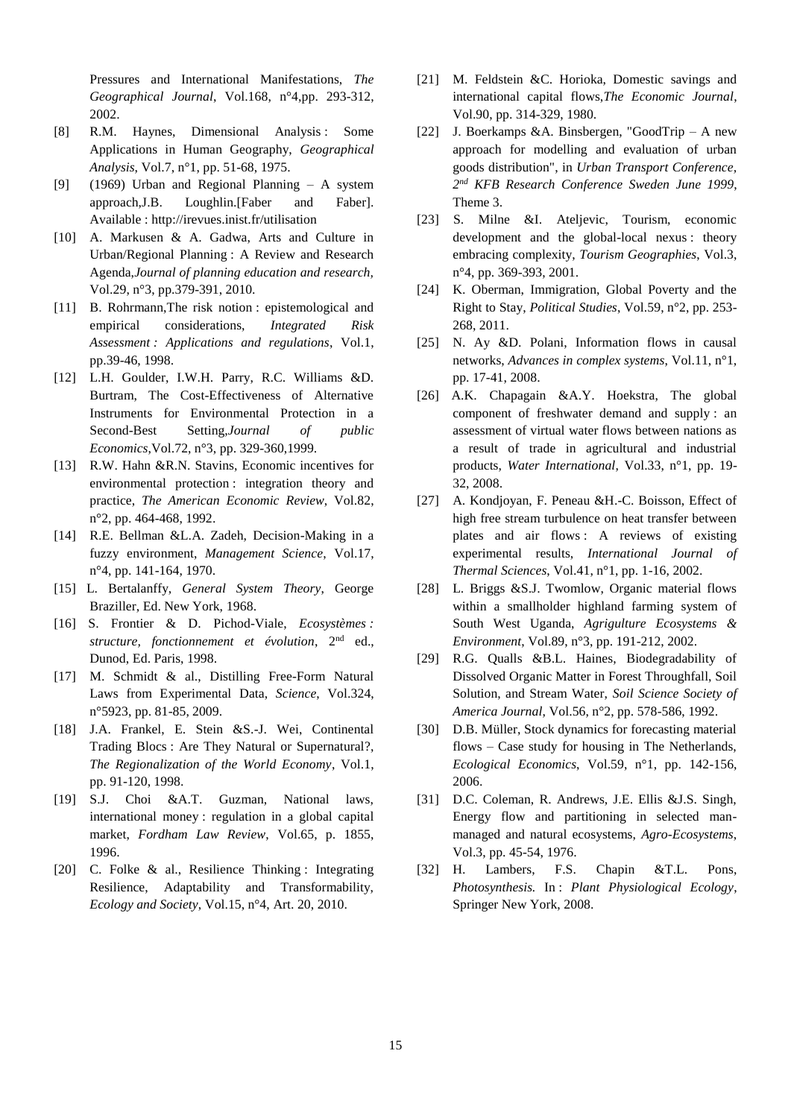Pressures and International Manifestations, *The Geographical Journal*, Vol.168, n°4,pp. 293-312, 2002.

- [8] R.M. Haynes, Dimensional Analysis : Some Applications in Human Geography, *Geographical Analysis*, Vol.7, n°1, pp. 51-68, 1975.
- [9] (1969) Urban and Regional Planning A system approach,J.B. Loughlin.[Faber and Faber]. Available : http://irevues.inist.fr/utilisation
- [10] A. Markusen & A. Gadwa, Arts and Culture in Urban/Regional Planning : A Review and Research Agenda,*Journal of planning education and research,* Vol.29, n°3, pp.379-391, 2010.
- [11] B. Rohrmann, The risk notion : epistemological and empirical considerations, *Integrated Risk Assessment : Applications and regulations*, Vol.1, pp.39-46, 1998.
- [12] L.H. Goulder, I.W.H. Parry, R.C. Williams &D. Burtram, The Cost-Effectiveness of Alternative Instruments for Environmental Protection in a Second-Best Setting,*Journal of public Economics*,Vol.72, n°3, pp. 329-360,1999.
- [13] R.W. Hahn &R.N. Stavins, Economic incentives for environmental protection : integration theory and practice, *The American Economic Review*, Vol.82, n°2, pp. 464-468, 1992.
- [14] R.E. Bellman &L.A. Zadeh, Decision-Making in a fuzzy environment, *Management Science*, Vol.17, n°4, pp. 141-164, 1970.
- [15] L. Bertalanffy, *General System Theory*, George Braziller, Ed. New York, 1968.
- [16] S. Frontier & D. Pichod-Viale, *Ecosystèmes :*  structure, fonctionnement et évolution, 2<sup>nd</sup> ed., Dunod, Ed. Paris, 1998.
- [17] M. Schmidt & al., Distilling Free-Form Natural Laws from Experimental Data, *Science*, Vol.324, n°5923, pp. 81-85, 2009.
- [18] J.A. Frankel, E. Stein &S.-J. Wei, Continental Trading Blocs : Are They Natural or Supernatural?, *The Regionalization of the World Economy*, Vol.1, pp. 91-120, 1998.
- [19] S.J. Choi &A.T. Guzman, National laws, international money : regulation in a global capital market, *Fordham Law Review*, Vol.65, p. 1855, 1996.
- [20] C. Folke & al., Resilience Thinking : Integrating Resilience, Adaptability and Transformability, *Ecology and Society*, Vol.15, n°4, Art. 20, 2010.
- [21] M. Feldstein &C. Horioka, Domestic savings and international capital flows,*The Economic Journal*, Vol.90, pp. 314-329, 1980.
- [22] J. Boerkamps &A. Binsbergen, "GoodTrip A new approach for modelling and evaluation of urban goods distribution", in *Urban Transport Conference, 2 nd KFB Research Conference Sweden June 1999*, Theme 3.
- [23] S. Milne &I. Ateljevic, Tourism, economic development and the global-local nexus : theory embracing complexity, *Tourism Geographies*, Vol.3, n°4, pp. 369-393, 2001.
- [24] K. Oberman, Immigration, Global Poverty and the Right to Stay, *Political Studies*, Vol.59, n°2, pp. 253- 268, 2011.
- [25] N. Ay &D. Polani, Information flows in causal networks, *Advances in complex systems*, Vol.11, n°1, pp. 17-41, 2008.
- [26] A.K. Chapagain &A.Y. Hoekstra, The global component of freshwater demand and supply : an assessment of virtual water flows between nations as a result of trade in agricultural and industrial products, *Water International*, Vol.33, n°1, pp. 19- 32, 2008.
- [27] A. Kondjoyan, F. Peneau &H.-C. Boisson, Effect of high free stream turbulence on heat transfer between plates and air flows : A reviews of existing experimental results, *International Journal of Thermal Sciences*, Vol.41, n°1, pp. 1-16, 2002.
- [28] L. Briggs &S.J. Twomlow, Organic material flows within a smallholder highland farming system of South West Uganda, *Agrigulture Ecosystems & Environment*, Vol.89, n°3, pp. 191-212, 2002.
- [29] R.G. Qualls &B.L. Haines, Biodegradability of Dissolved Organic Matter in Forest Throughfall, Soil Solution, and Stream Water, *Soil Science Society of America Journal*, Vol.56, n°2, pp. 578-586, 1992.
- [30] D.B. Müller, Stock dynamics for forecasting material flows – Case study for housing in The Netherlands, *Ecological Economics*, Vol.59, n°1, pp. 142-156, 2006.
- [31] D.C. Coleman, R. Andrews, J.E. Ellis & J.S. Singh, Energy flow and partitioning in selected manmanaged and natural ecosystems, *Agro-Ecosystems*, Vol.3, pp. 45-54, 1976.
- [32] H. Lambers, F.S. Chapin &T.L. Pons, *Photosynthesis.* In : *Plant Physiological Ecology*, Springer New York, 2008.